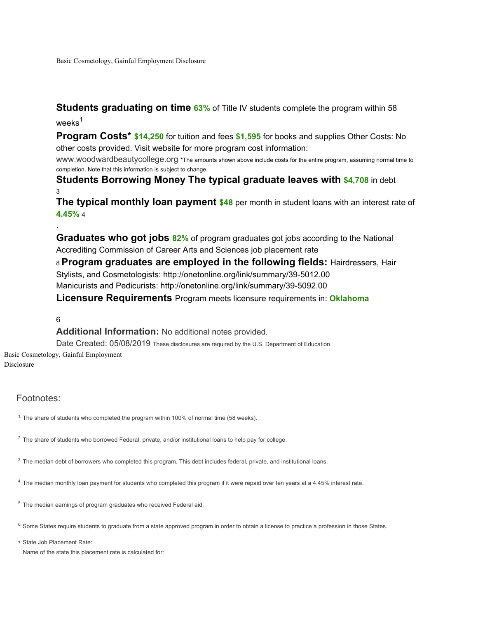Basic Cosmetology, Gainful Employment Disclosure

**Students graduating on time 63%** of Title IV students complete the program within 58

weeks<sup>1</sup>

**Program Costs\* \$14,250** for tuition and fees **\$1,595** for books and supplies Other Costs: No other costs provided. Visit website for more program cost information:

www.woodwardbeautycollege.org \*The amounts shown above include costs for the entire program, assuming normal time to completion. Note that this information is subject to change.

**Students Borrowing Money The typical graduate leaves with \$4,708** in debt 3

**The typical monthly loan payment \$48** per month in student loans with an interest rate of **4.45%** 4

**Graduates who got jobs 82%** of program graduates got jobs according to the National Accrediting Commission of Career Arts and Sciences job placement rate

<sup>8</sup>**Program graduates are employed in the following fields:** Hairdressers, Hair Stylists, and Cosmetologists: http://onetonline.org/link/summary/39-5012.00 Manicurists and Pedicurists: http://onetonline.org/link/summary/39-5092.00

**Licensure Requirements** Program meets licensure requirements in: **Oklahoma**

6

.

## **Additional Information:** No additional notes provided.

Date Created: 05/08/2019 These disclosures are required by the U.S. Department of Education Basic Cosmetology, Gainful Employment

Disclosure

## Footnotes:

<sup>1.</sup> The share of students who completed the program within 100% of normal time (58 weeks).

<sup>2.</sup> The share of students who borrowed Federal, private, and/or institutional loans to help pay for college.

3. The median debt of borrowers who completed this program. This debt includes federal, private, and institutional loans.

4. The median monthly loan payment for students who completed this program if it were repaid over ten years at a 4.45% interest rate.

<sup>5.</sup> The median earnings of program graduates who received Federal aid.

<sup>6.</sup> Some States require students to graduate from a state approved program in order to obtain a license to practice a profession in those States.

7. State Job Placement Rate:

Name of the state this placement rate is calculated for: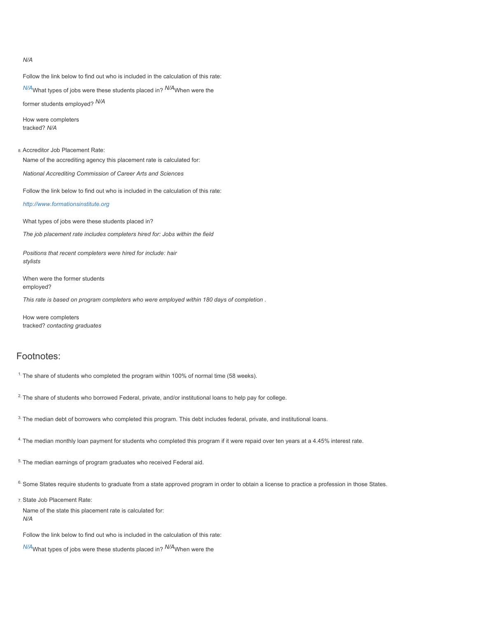*N/A*

Follow the link below to find out who is included in the calculation of this rate:

*N/A*What types of jobs were these students placed in? *N/A*When were the former students employed? *N/A*

How were completers tracked? *N/A*

8. Accreditor Job Placement Rate: Name of the accrediting agency this placement rate is calculated for:

*National Accrediting Commission of Career Arts and Sciences*

Follow the link below to find out who is included in the calculation of this rate:

*http://www.formationsinstitute.org*

What types of jobs were these students placed in?

*The job placement rate includes completers hired for: Jobs within the field*

*Positions that recent completers were hired for include: hair stylists*

When were the former students employed?

*This rate is based on program completers who were employed within 180 days of completion .*

How were completers tracked? *contacting graduates*

## Footnotes:

<sup>1.</sup> The share of students who completed the program within 100% of normal time (58 weeks).

<sup>2.</sup> The share of students who borrowed Federal, private, and/or institutional loans to help pay for college.

3. The median debt of borrowers who completed this program. This debt includes federal, private, and institutional loans.

4. The median monthly loan payment for students who completed this program if it were repaid over ten years at a 4.45% interest rate.

<sup>5.</sup> The median earnings of program graduates who received Federal aid.

<sup>6.</sup> Some States require students to graduate from a state approved program in order to obtain a license to practice a profession in those States.

7. State Job Placement Rate:

Name of the state this placement rate is calculated for: *N/A*

Follow the link below to find out who is included in the calculation of this rate:

*N/A*What types of jobs were these students placed in? *N/A*When were the